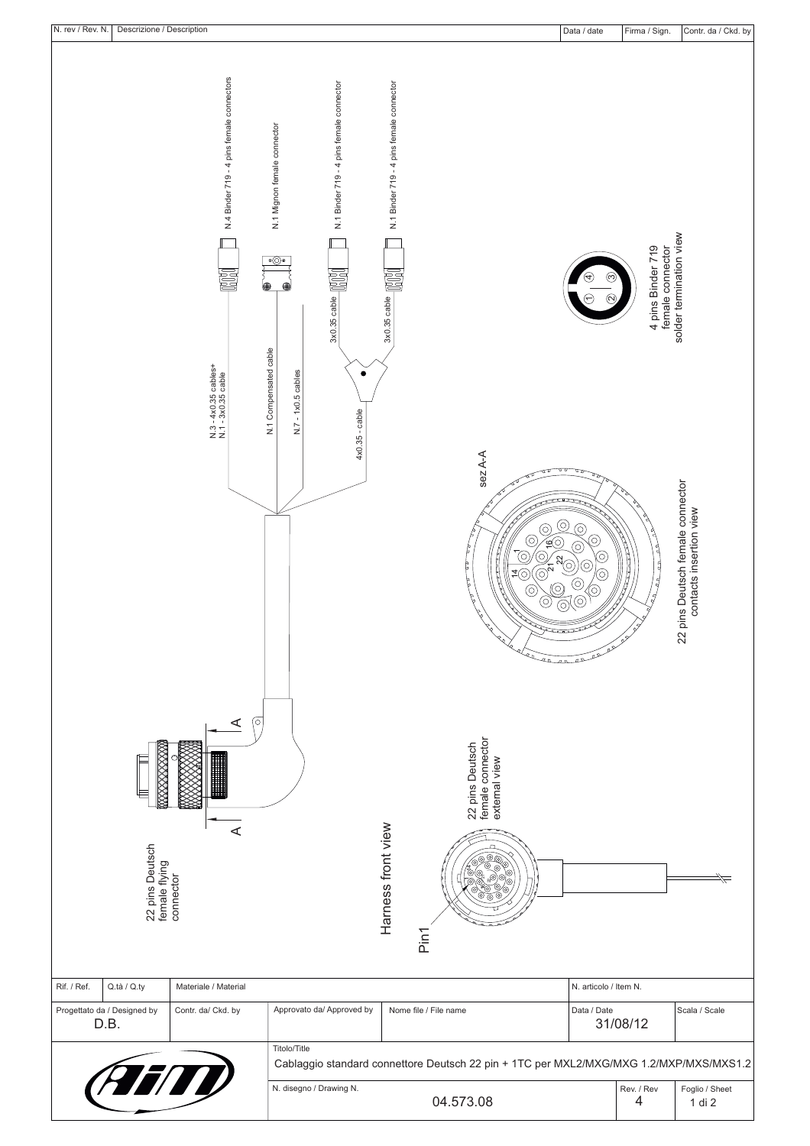